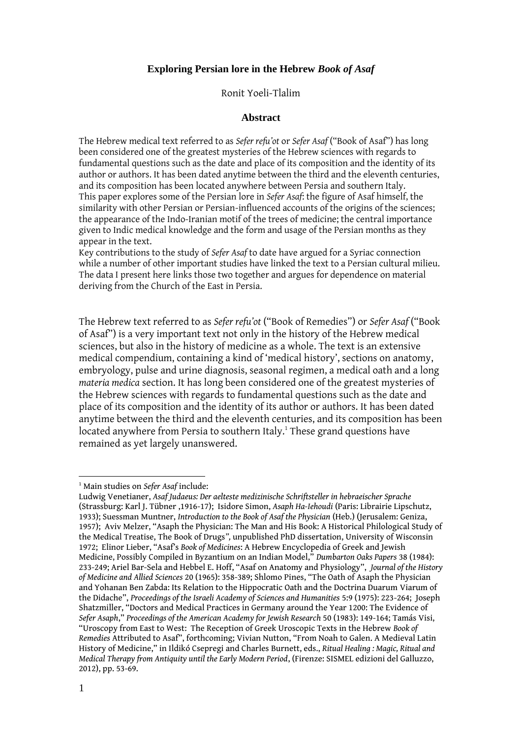# **Exploring Persian lore in the Hebrew** *Book of Asaf*

Ronit Yoeli-Tlalim

#### **Abstract**

The Hebrew medical text referred to as *Sefer refu'ot* or *Sefer Asaf* ("Book of Asaf") has long been considered one of the greatest mysteries of the Hebrew sciences with regards to fundamental questions such as the date and place of its composition and the identity of its author or authors. It has been dated anytime between the third and the eleventh centuries, and its composition has been located anywhere between Persia and southern Italy. This paper explores some of the Persian lore in *Sefer Asaf*: the figure of Asaf himself, the similarity with other Persian or Persian-influenced accounts of the origins of the sciences; the appearance of the Indo-Iranian motif of the trees of medicine; the central importance given to Indic medical knowledge and the form and usage of the Persian months as they appear in the text.

Key contributions to the study of *Sefer Asaf* to date have argued for a Syriac connection while a number of other important studies have linked the text to a Persian cultural milieu. The data I present here links those two together and argues for dependence on material deriving from the Church of the East in Persia.

The Hebrew text referred to as *Sefer refu'ot* ("Book of Remedies") or *Sefer Asaf* ("Book of Asaf") is a very important text not only in the history of the Hebrew medical sciences, but also in the history of medicine as a whole. The text is an extensive medical compendium, containing a kind of 'medical history', sections on anatomy, embryology, pulse and urine diagnosis, seasonal regimen, a medical oath and a long *materia medica* section. It has long been considered one of the greatest mysteries of the Hebrew sciences with regards to fundamental questions such as the date and place of its composition and the identity of its author or authors. It has been dated anytime between the third and the eleventh centuries, and its composition has been located anywhere from Persia to southern Italy.<sup>1</sup> These grand questions have remained as yet largely unanswered.

<sup>1</sup> Main studies on *Sefer Asaf* include:

Ludwig Venetianer, *Asaf Judaeus: Der aelteste medizinische Schriftsteller in hebraeischer Sprache* (Strassburg: Karl J. Tübner ,1916-17); Isidore Simon, *Asaph Ha-Iehoudi* (Paris: Librairie Lipschutz, 1933); Suessman Muntner, *Introduction to the Book of Asaf the Physician* (Heb.) (Jerusalem: Geniza, 1957); Aviv Melzer, "Asaph the Physician: The Man and His Book: A Historical Philological Study of the Medical Treatise, The Book of Drugs*",* unpublished PhD dissertation, University of Wisconsin 1972; Elinor Lieber, "Asaf's *Book of Medicines*: A Hebrew Encyclopedia of Greek and Jewish Medicine, Possibly Compiled in Byzantium on an Indian Model," *Dumbarton Oaks Papers* 38 (1984): 233-249; Ariel Bar-Sela and Hebbel E. Hoff, "Asaf on Anatomy and Physiology", *Journal of the History of Medicine and Allied Sciences* 20 (1965): 358-389; Shlomo Pines, "The Oath of Asaph the Physician and Yohanan Ben Zabda: Its Relation to the Hippocratic Oath and the Doctrina Duarum Viarum of the Didache", *Proceedings of the Israeli Academy of Sciences and Humanities* 5:9 (1975): 223-264; Joseph Shatzmiller, "Doctors and Medical Practices in Germany around the Year 1200: The Evidence of *Sefer Asaph*," *Proceedings of the American Academy for Jewish Research* 50 (1983): 149-164; Tamás Visi, "Uroscopy from East to West: The Reception of Greek Uroscopic Texts in the Hebrew *Book of Remedies* Attributed to Asaf", forthcoming; Vivian Nutton, "From Noah to Galen. A Medieval Latin History of Medicine," in Ildikó Csepregi and Charles Burnett, eds., *Ritual Healing : Magic, Ritual and Medical Therapy from Antiquity until the Early Modern Period*, (Firenze: SISMEL edizioni del Galluzzo, 2012), pp. 53-69.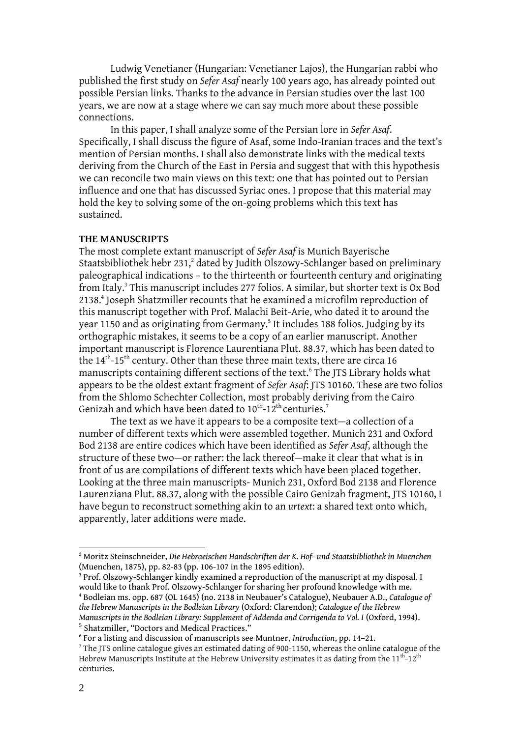Ludwig Venetianer [\(Hungarian:](http://en.wikipedia.org/wiki/Hungarian_language) Venetianer Lajos), the Hungarian rabbi who published the first study on *Sefer Asaf* nearly 100 years ago, has already pointed out possible Persian links. Thanks to the advance in Persian studies over the last 100 years, we are now at a stage where we can say much more about these possible connections.

In this paper, I shall analyze some of the Persian lore in *Sefer Asaf*. Specifically, I shall discuss the figure of Asaf, some Indo-Iranian traces and the text's mention of Persian months. I shall also demonstrate links with the medical texts deriving from the Church of the East in Persia and suggest that with this hypothesis we can reconcile two main views on this text: one that has pointed out to Persian influence and one that has discussed Syriac ones. I propose that this material may hold the key to solving some of the on-going problems which this text has sustained.

#### **THE MANUSCRIPTS**

The most complete extant manuscript of *Sefer Asaf* is Munich Bayerische Staatsbibliothek hebr 231,<sup>2</sup> dated by Judith Olszowy-Schlanger based on preliminary paleographical indications – to the thirteenth or fourteenth century and originating from Italy.<sup>3</sup> This manuscript includes 277 folios. A similar, but shorter text is Ox Bod 2138. 4 Joseph Shatzmiller recounts that he examined a microfilm reproduction of this manuscript together with Prof. Malachi Beit-Arie, who dated it to around the year 1150 and as originating from Germany.<sup>5</sup> It includes 188 folios. Judging by its orthographic mistakes, it seems to be a copy of an earlier manuscript. Another important manuscript is Florence Laurentiana Plut. 88.37, which has been dated to the 14<sup>th</sup>-15<sup>th</sup> century. Other than these three main texts, there are circa 16 manuscripts containing different sections of the text. 6 The JTS Library holds what appears to be the oldest extant fragment of *Sefer Asaf*: JTS 10160. These are two folios from the Shlomo Schechter Collection, most probably deriving from the Cairo Genizah and which have been dated to  $10^{\text{th}}$ -12<sup>th</sup> centuries.<sup>7</sup>

The text as we have it appears to be a composite text—a collection of a number of different texts which were assembled together. Munich 231 and Oxford Bod 2138 are entire codices which have been identified as *Sefer Asaf*, although the structure of these two—or rather: the lack thereof—make it clear that what is in front of us are compilations of different texts which have been placed together. Looking at the three main manuscripts- Munich 231, Oxford Bod 2138 and Florence Laurenziana Plut. 88.37, along with the possible Cairo Genizah fragment, JTS 10160, I have begun to reconstruct something akin to an *urtext*: a shared text onto which, apparently, later additions were made.

<sup>2</sup> Moritz Steinschneider, *Die Hebraeischen Handschriften der K. Hof- und Staatsbibliothek in Muenchen* (Muenchen, 1875), pp. 82-83 (pp. 106-107 in the 1895 edition).

<sup>&</sup>lt;sup>3</sup> Prof. Olszowy-Schlanger kindly examined a reproduction of the manuscript at my disposal. I would like to thank Prof. Olszowy-Schlanger for sharing her profound knowledge with me. <sup>4</sup> Bodleian ms. opp. 687 (OL 1645) (no. 2138 in Neubauer's Catalogue), Neubauer A.D., *Catalogue of the Hebrew Manuscripts in the Bodleian Library* (Oxford: Clarendon); *Catalogue of the Hebrew Manuscripts in the Bodleian Library: Supplement of Addenda and Corrigenda to Vol. I* (Oxford, 1994). 5 Shatzmiller, "Doctors and Medical Practices."

<sup>6</sup> For a listing and discussion of manuscripts see Muntner, *Introduction*, pp. 14–21.

<sup>&</sup>lt;sup>7</sup> The JTS online catalogue gives an estimated dating of 900-1150, whereas the online catalogue of the Hebrew Manuscripts Institute at the Hebrew University estimates it as dating from the 11<sup>th</sup>-12<sup>th</sup> centuries.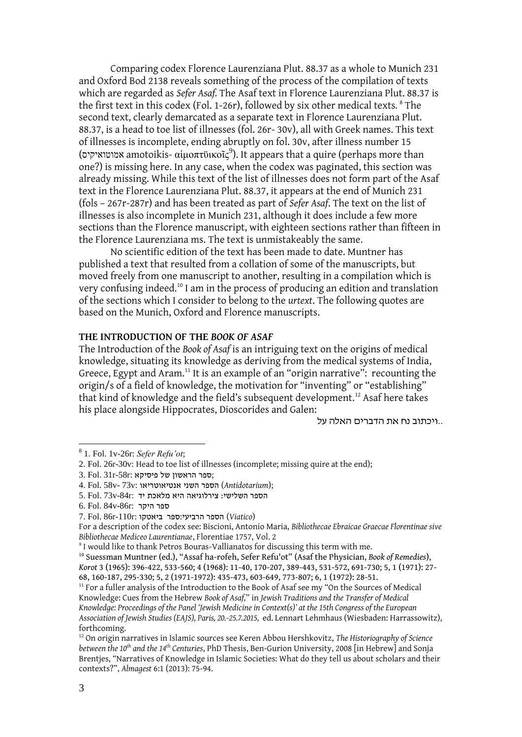Comparing codex Florence Laurenziana Plut. 88.37 as a whole to Munich 231 and Oxford Bod 2138 reveals something of the process of the compilation of texts which are regarded as *Sefer Asaf.* The Asaf text in Florence Laurenziana Plut. 88.37 is the first text in this codex (Fol. 1-26r), followed by six other medical texts*.* 8 The second text, clearly demarcated as a separate text in Florence Laurenziana Plut. 88.37, is a head to toe list of illnesses (fol. 26r- 30v), all with Greek names. This text of illnesses is incomplete, ending abruptly on fol. 30v, after illness number 15 (אמוטואיקיס amotoikis- αἱμοπτϋικοῖς<sup>9</sup>). It appears that a quire (perhaps more than one?) is missing here. In any case, when the codex was paginated, this section was already missing. While this text of the list of illnesses does not form part of the Asaf text in the Florence Laurenziana Plut. 88.37, it appears at the end of Munich 231 (fols – 267r-287r) and has been treated as part of *Sefer Asaf*. The text on the list of illnesses is also incomplete in Munich 231, although it does include a few more sections than the Florence manuscript, with eighteen sections rather than fifteen in the Florence Laurenziana ms. The text is unmistakeably the same.

No scientific edition of the text has been made to date. Muntner has published a text that resulted from a collation of some of the manuscripts, but moved freely from one manuscript to another, resulting in a compilation which is very confusing indeed.<sup>10</sup> I am in the process of producing an edition and translation of the sections which I consider to belong to the *urtext*. The following quotes are based on the Munich, Oxford and Florence manuscripts.

#### **THE INTRODUCTION OF THE** *BOOK OF ASAF*

The Introduction of the *Book of Asaf* is an intriguing text on the origins of medical knowledge, situating its knowledge as deriving from the medical systems of India, Greece, Egypt and Aram.<sup>11</sup> It is an example of an "origin narrative": recounting the origin/s of a field of knowledge, the motivation for "inventing" or "establishing" that kind of knowledge and the field's subsequent development. <sup>12</sup> Asaf here takes his place alongside Hippocrates, Dioscorides and Galen:

..ויכתוב נח את הדברים האלה על

<sup>8</sup> 1. Fol. 1v-26r: *Sefer Refu'ot*;

<sup>2.</sup> Fol. 26r-30v: Head to toe list of illnesses (incomplete; missing quire at the end);

<sup>3.</sup> Fol. 31r-58r: ספר הראשון של פיסיקא

<sup>4.</sup> Fol. 58v- 73v: אנטיאוטריאו השני הספר) *Antidotarium*);

הספר השלישי: צירלוגיאה היא מלאכת יד :r-84v73 .Fol 5.

<sup>6.</sup> Fol. 84v-86r: היקר ספר

<sup>(</sup>*Viatico* (הספר הרביעי:ספר ביאטקו :r-110r86 .Fol 7.

For a description of the codex see: Biscioni, Antonio Maria, *Bibliothecae Ebraicae Graecae Florentinae sive Bibliothecae Mediceo Laurentianae*, Florentiae 1757, Vol. 2

<sup>&</sup>lt;sup>9</sup> I would like to thank Petros Bouras-Vallianatos for discussing this term with me.

<sup>10</sup> Suessman Muntner (ed.), "Assaf ha-rofeh, Sefer Refu'ot" (Asaf the Physician, *Book of Remedies*), *Korot* 3 (1965): 396-422, 533-560; 4 (1968): 11-40, 170-207, 389-443, 531-572, 691-730; 5, 1 (1971): 27- 68, 160-187, 295-330; 5, 2 (1971-1972): 435-473, 603-649, 773-807; 6, 1 (1972): 28-51.

 $11$  For a fuller analysis of the Introduction to the Book of Asaf see my "On the Sources of Medical Knowledge: Cues from the Hebrew *Book of Asaf,*" in *Jewish Traditions and the Transfer of Medical Knowledge: Proceedings of the Panel 'Jewish Medicine in Context(s)' at the 15th Congress of the European Association of Jewish Studies (EAJS), Paris, 20.-25.7.2015,* ed. Lennart Lehmhaus (Wiesbaden: Harrassowitz), forthcoming.

<sup>12</sup> On origin narratives in Islamic sources see Keren Abbou Hershkovitz, *The Historiography of Science between the 10th and the 14th Centuries*, PhD Thesis, Ben-Gurion University, 2008 [in Hebrew] and Sonja Brentjes, "Narratives of Knowledge in Islamic Societies: What do they tell us about scholars and their contexts?", *Almagest* 6:1 (2013): 75-94.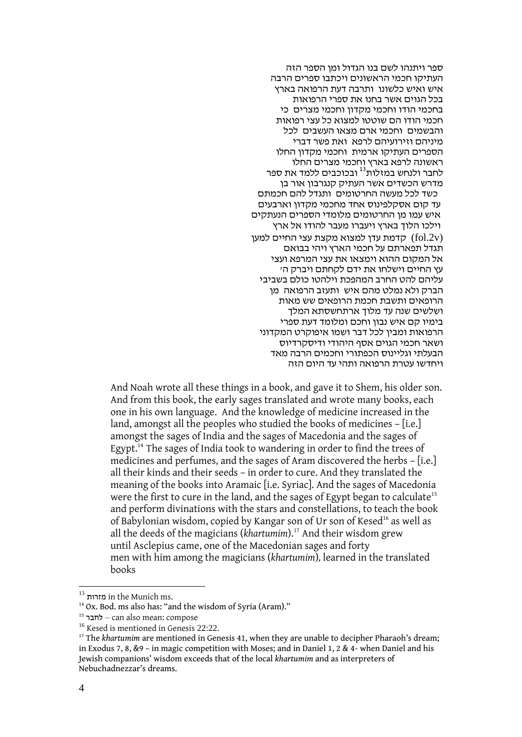ספר ויתנהו לשם בנו הגדול ומן הספר הזה העתיקו חכמי הראשונים ויכתבו ספרים הרבה איש ואיש כלשונו ותרבה דעת הרפואה בארץ בכל הגוים אשר בחנו את ספרי הרפואות בחכמי הודו וחכמי מקדון וחכמי מצרים כי חכמי הודו הם שוטטו למצוא כל עצי רפואות והבשמים וחכמי ארם מצאו העשבים לכל מיניהם וזירועיהם לרפא ואת פשר דברי הספרים העתיקו ארמית וחכמי מקדון החלו ראשונה לרפא בארץ וחכמי מצרים החלו ו המסמר לו בהריקה המודר של הרומן.<br>לחבר ולנחש במזלות<sup>13</sup> ובכוכבים ללמד את ספר מדרש הכשדים אשר העתיק קנגרבון אור בן כשד לכל מעשה החרטומים ותגדל להם חכמתם

עד קום אסקלפינוס אחד מחכמי מקדון וארבעים איש עמו מן החרטומים מלומדי הספרים הנעתקים וילכו הלוך בארץ ויעברו מעבר להודו אל ארץ קדמת עדן למצוא מקצת עצי החיים למען ( $f$ ol.2v) תגדל תפארתם על חכמי הארץ ויהי בבואם אל המקום ההוא וימצאו את עצי המרפא ועצי עץ החיים וישלחו את ידם לקחתם ויברק ה' עליהם להט החרב המהפכת וילהטו כולם בשביבי הברק ולא נמלט מהם איש ותעזב הרפואה מן הרופאים ותשבת חכמת הרופאים שש מאות ושלשים שנה עד מלוך ארתחשסתא המלך בימיו קם איש נבון וחכם ומלומד דעת ספרי הרפואות ומבין לכל דבר ושמו איפוקרט המקדוני ושאר חכמי הגוים אסף היהודי ודיסקרדיוס הבעלתי וגליינוס הכפתורי וחכמים הרבה מאד ויחדשו עטרת הרפואה ותהי עד היום הזה

And Noah wrote all these things in a book, and gave it to Shem, his older son. And from this book, the early sages translated and wrote many books, each one in his own language. And the knowledge of medicine increased in the land, amongst all the peoples who studied the books of medicines – [i.e.] amongst the sages of India and the sages of Macedonia and the sages of Egypt.<sup>14</sup> The sages of India took to wandering in order to find the trees of medicines and perfumes, and the sages of Aram discovered the herbs – [i.e.] all their kinds and their seeds – in order to cure. And they translated the meaning of the books into Aramaic [i.e. Syriac]. And the sages of Macedonia were the first to cure in the land, and the sages of Egypt began to calculate<sup>15</sup> and perform divinations with the stars and constellations, to teach the book of Babylonian wisdom, copied by Kangar son of Ur son of Kesed<sup>16</sup> as well as all the deeds of the magicians (*khartumim*). <sup>17</sup> And their wisdom grew until Asclepius came, one of the Macedonian sages and forty men with him among the magicians (*khartumim*)*,* learned in the translated books

 $^{\rm 13}$  <br/>ar the Munich ms.

<sup>&</sup>lt;sup>14</sup> Ox. Bod. ms also has: "and the wisdom of Syria (Aram)."

<sup>&</sup>lt;sup>15</sup> לחבר<sup>15</sup> – can also mean: compose

<sup>&</sup>lt;sup>16</sup> Kesed is mentioned in Genesis 22:22.

<sup>&</sup>lt;sup>17</sup> The *khartumim* are mentioned in Genesis 41, when they are unable to decipher Pharaoh's dream; in Exodus 7, 8, &9 – in magic competition with Moses; and in Daniel 1, 2 & 4- when Daniel and his Jewish companions' wisdom exceeds that of the local *khartumim* and as interpreters of Nebuchadnezzar's dreams.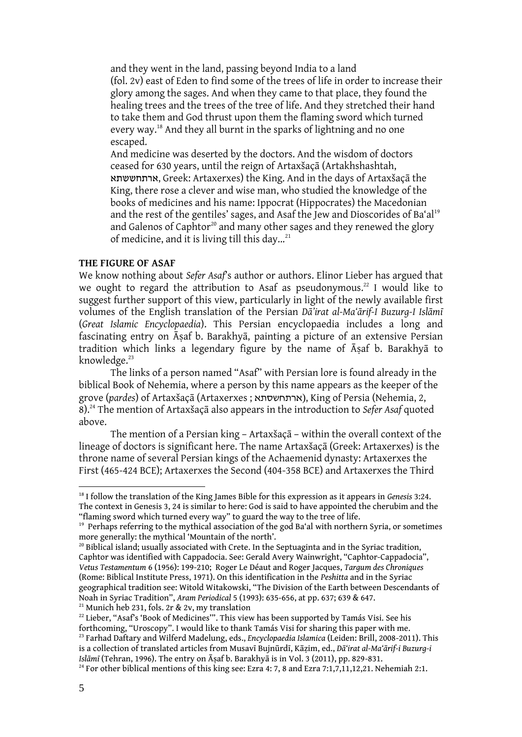and they went in the land, passing beyond India to a land (fol. 2v) east of Eden to find some of the trees of life in order to increase their glory among the sages. And when they came to that place, they found the healing trees and the trees of the tree of life. And they stretched their hand to take them and God thrust upon them the flaming sword which turned every way.<sup>18</sup> And they all burnt in the sparks of lightning and no one escaped.

And medicine was deserted by the doctors. And the wisdom of doctors ceased for 630 years, until the reign of Artaxšaçā (Artakhshashtah, ארתחששתא, Greek: Artaxerxes) the King. And in the days of Artaxšaçā the King, there rose a clever and wise man, who studied the knowledge of the books of medicines and his name: Ippocrat (Hippocrates) the Macedonian and the rest of the gentiles' sages, and Asaf the Jew and Dioscorides of Ba'al<sup>19</sup> and Galenos of Caphtor<sup>20</sup> and many other sages and they renewed the glory of medicine, and it is living till this day... $21$ 

# **THE FIGURE OF ASAF**

We know nothing about *Sefer Asaf*'s author or authors. Elinor Lieber has argued that we ought to regard the attribution to Asaf as pseudonymous.<sup>22</sup> I would like to suggest further support of this view, particularly in light of the newly available first volumes of the English translation of the Persian *Dā'irat al-Ma'ārif-I Buzurg-I Islāmī*  (*Great Islamic Encyclopaedia*). This Persian encyclopaedia includes a long and fascinating entry on Āsaf b. Barakhyā, painting a picture of an extensive Persian tradition which links a legendary figure by the name of Āṣaf b. Barakhyā to knowledge.<sup>23</sup>

The links of a person named "Asaf" with Persian lore is found already in the biblical Book of Nehemia, where a person by this name appears as the keeper of the grove (*pardes*) of Artaxšaçā (Artaxerxes ; ארתחשסתא(, King of Persia (Nehemia, 2, 8).<sup>24</sup> The mention of Artaxšaçā also appears in the introduction to *Sefer Asaf* quoted above.

The mention of a Persian king – Artaxšaçā – within the overall context of the lineage of doctors is significant here. The name Artaxšaçā (Greek: Artaxerxes) is the throne name of several Persian kings of the Achaemenid dynasty: Artaxerxes the First (465-424 BCE); Artaxerxes the Second (404-358 BCE) and Artaxerxes the Third

<sup>21</sup> Munich heb 231, fols. 2r & 2v, my translation

<sup>22</sup> Lieber, "Asaf's 'Book of Medicines"'. This view has been supported by Tamás Visi. See his forthcoming, "Uroscopy". I would like to thank Tamás Visi for sharing this paper with me. <sup>23</sup> Farhad Daftary and Wilferd Madelung, eds., *Encyclopaedia Islamica* (Leiden: Brill, 2008-2011). This is a collection of translated articles from Musavī Bujnūrdī, Kāẓim, ed., *Dā'irat al-Ma'ārif-i Buzurg-i Islāmī* (Tehran, 1996). The entry on Āṣaf b. Barakhyā is in Vol. 3 (2011), pp. 829-831.

<sup>18</sup> I follow the translation of the King James Bible for this expression as it appears in *Genesis* 3:24. The context in Genesis 3, 24 is similar to here: God is said to have appointed the cherubim and the "flaming sword which turned every way" to guard the way to the tree of life.

<sup>&</sup>lt;sup>19</sup> Perhaps referring to the mythical association of the god Ba'al with northern Syria, or sometimes more generally: the mythical 'Mountain of the north'.

 $20$  Biblical island; usually associated with Crete. In the Septuaginta and in the Syriac tradition, Caphtor was identified with Cappadocia. See: Gerald Avery Wainwright, "Caphtor-Cappadocia", *Vetus Testamentum* 6 (1956): 199-210; Roger Le Déaut and Roger Jacques, *Targum des Chroniques* (Rome: Biblical Institute Press, 1971). On this identification in the *Peshitta* and in the Syriac geographical tradition see: Witold Witakowski, "The Division of the Earth between Descendants of Noah in Syriac Tradition", *Aram Periodical* 5 (1993): 635-656, at pp. 637; 639 & 647.

<sup>&</sup>lt;sup>24</sup> For other biblical mentions of this king see: Ezra 4: 7, 8 and Ezra 7:1,7,11,12,21. Nehemiah 2:1.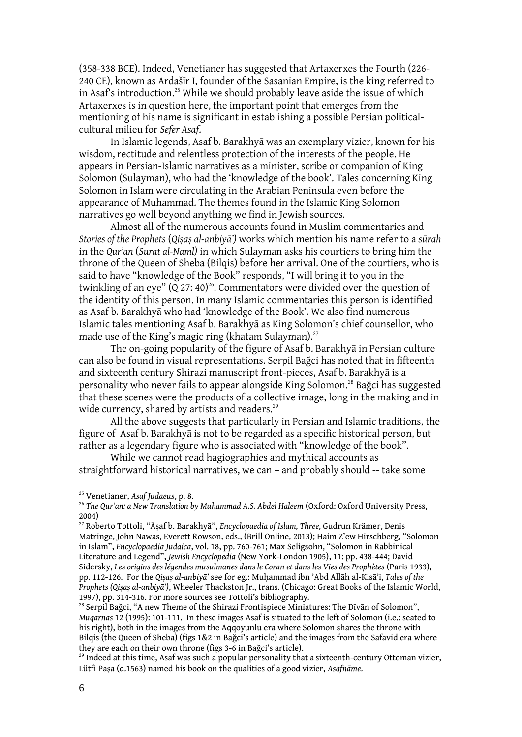(358-338 BCE). Indeed, Venetianer has suggested that Artaxerxes the Fourth (226- 240 CE), known as Ardašīr I, founder of the Sasanian Empire, is the king referred to in Asaf's introduction.<sup>25</sup> While we should probably leave aside the issue of which Artaxerxes is in question here, the important point that emerges from the mentioning of his name is significant in establishing a possible Persian politicalcultural milieu for *Sefer Asaf*.

In Islamic legends, Asaf b. Barakhyā was an exemplary vizier, known for his wisdom, rectitude and relentless protection of the interests of the people. He appears in Persian-Islamic narratives as a minister, scribe or companion of King Solomon (Sulayman), who had the 'knowledge of the book'. Tales concerning King Solomon in Islam were circulating in the Arabian Peninsula even before the appearance of Muhammad. The themes found in the Islamic King Solomon narratives go well beyond anything we find in Jewish sources.

Almost all of the numerous accounts found in Muslim commentaries and *Stories of the Prophets* (*Qiṣaṣ al-anbiyā')* works which mention his name refer to a *sūrah* in the *Qur'an* (*Surat al-Naml)* in which Sulayman asks his courtiers to bring him the throne of the Queen of Sheba (Bilqis) before her arrival. One of the courtiers, who is said to have "knowledge of the Book" responds, "I will bring it to you in the twinkling of an eye"  $(Q 27: 40)^{26}$ . Commentators were divided over the question of the identity of this person. In many Islamic commentaries this person is identified as Asaf b. Barakhyā who had 'knowledge of the Book'. We also find numerous Islamic tales mentioning Asaf b. Barakhyā as King Solomon's chief counsellor, who made use of the King's magic ring (khatam Sulayman).<sup>27</sup>

The on-going popularity of the figure of Asaf b. Barakhyā in Persian culture can also be found in visual representations. Serpil Bağci has noted that in fifteenth and sixteenth century Shirazi manuscript front-pieces, Asaf b. Barakhyā is a personality who never fails to appear alongside King Solomon.<sup>28</sup> Bağci has suggested that these scenes were the products of a collective image, long in the making and in wide currency, shared by artists and readers.<sup>29</sup>

All the above suggests that particularly in Persian and Islamic traditions, the figure of Asaf b. Barakhyā is not to be regarded as a specific historical person, but rather as a legendary figure who is associated with "knowledge of the book".

While we cannot read hagiographies and mythical accounts as straightforward historical narratives, we can – and probably should -- take some

<sup>25</sup> Venetianer, *Asaf Judaeus*, p. 8.

<sup>26</sup> *The Qur'an: a New Translation by Muhammad A.S. Abdel Haleem* (Oxford: Oxford University Press, 2004)

<sup>27</sup> Roberto Tottoli, "Āṣaf b. Barakhyā", *Encyclopaedia of Islam, Three,* Gudrun Krämer, Denis Matringe, John Nawas, Everett Rowson, eds., (Brill Online, 2013); Haim Z'ew Hirschberg, "Solomon in Islam", *Encyclopaedia Judaica*, vol. 18, pp. 760-761; Max Seligsohn, "Solomon in Rabbinical Literature and Legend", *Jewish Encyclopedia* (New York-London 1905), 11: pp. 438-444; David Sidersky, *Les origins des légendes musulmanes dans le Coran et dans les Vies des Prophètes* (Paris 1933), pp. 112-126. For the *Qiṣaṣ al-anbiyā'* see for eg.: Muḥammad ibn 'Abd Allāh al-Kisā'i, *Tales of the Prophets (Qiṣaṣ al-anbiyā')*, Wheeler Thackston Jr., trans. (Chicago: Great Books of the Islamic World, 1997), pp. 314-316. For more sources see Tottoli's bibliography*.* 

<sup>&</sup>lt;sup>28</sup> Serpil Bağci, "A new Theme of the Shirazi Frontispiece Miniatures: The Dīvān of Solomon", *Muqarnas* 12 (1995): 101-111. In these images Asaf is situated to the left of Solomon (i.e.: seated to his right), both in the images from the Aqqoyunlu era where Solomon shares the throne with Bilqis (the Queen of Sheba) (figs 1&2 in Bağci's article) and the images from the Safavid era where they are each on their own throne (figs 3-6 in Bağci's article).

 $^{29}$  Indeed at this time, Asaf was such a popular personality that a sixteenth-century Ottoman vizier, Lütfi Paşa (d.1563) named his book on the qualities of a good vizier, *Asafnāme*.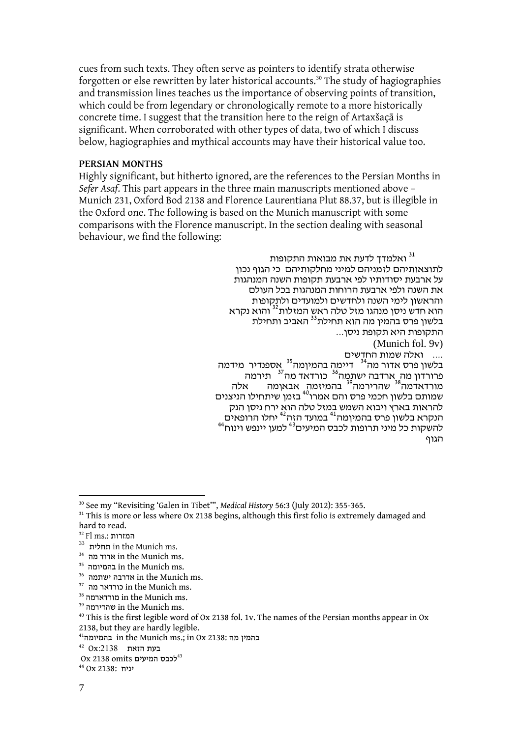cues from such texts. They often serve as pointers to identify strata otherwise forgotten or else rewritten by later historical accounts.<sup>30</sup> The study of hagiographies and transmission lines teaches us the importance of observing points of transition, which could be from legendary or chronologically remote to a more historically concrete time. I suggest that the transition here to the reign of Artaxšaçā is significant. When corroborated with other types of data, two of which I discuss below, hagiographies and mythical accounts may have their historical value too.

# **PERSIAN MONTHS**

Highly significant, but hitherto ignored, are the references to the Persian Months in *Sefer Asaf*. This part appears in the three main manuscripts mentioned above – Munich 231, Oxford Bod 2138 and Florence Laurentiana Plut 88.37, but is illegible in the Oxford one. The following is based on the Munich manuscript with some comparisons with the Florence manuscript. In the section dealing with seasonal behaviour, we find the following:

> ואלמדך לדעת את מבואות התקופות  $^{\rm 31}$ לתוצאותיהם לזמניהם למיני מחלקותיהם כי הגוף נכון על ארבעת יסודותיו לפי ארבעת תקופות השנה המנהגות את השנה ולפי ארבעת הרוחות המנהגות בכל העולם והראשון לימי השנה ולחדשים ולמועדים ולתקופות הוא חדש ניסן מנהגו מזל טלה ראש המזלות<sup>32</sup> והוא נקרא בלשון פרס בהמין מה הוא תחילת<sup>33</sup> האביב ותחילת התקופות היא תקופת ניסן... (Munich fol. 9v) .... ואלה שמות החדשים בלשון פרס אדור מה<sup>34</sup> - דיימה בהמיןמה<sup>35</sup> <sub>ב</sub>אספנדיר -מידמה פרורדון מה ֻארדבה ישתֻמֲה<sup>36</sup> כורדאד מה<sup>37</sup> תירמה מורדאדמה<sup>38</sup> שהרירמה<sup>39</sup> בהמיזמה אבאןמה אלה שמותם בלשון חכמי פרס והם אמרו<sup>40</sup> בזמן שיתחילו הניצנים להראות בארץ ויבוא השמש במזל טלה הוא ירח ניסן הנק הנקרא בלשון פרס בהמיןמה<sup>41</sup> במועד הזה<sup>42</sup> יחלו הרופאים<br>להשקות כל מיני תרופות לכבס המיעים<sup>43</sup> למען יינפש וינוח<sup>44</sup> הגוף

<sup>1</sup> <sup>30</sup> See my "Revisiting 'Galen in Tibet'", *Medical History* 56:3 (July 2012): 355-365.

 $31$  This is more or less where Ox 2138 begins, although this first folio is extremely damaged and hard to read.

<sup>32</sup> Fl ms.: המזרות

 $^{33}$  תחלית in the Munich ms.

 $^{34}\,$  ארוד מה in the Munich ms.

 $^{\rm 35}$  בהמיומה in the Munich ms.

 $^{\rm 36}$  ישתמה in the Munich ms.

 $^{37}$  <br/>ch rre $\,$ Munich ms.

 $^\mathrm{38}$ מורדארמה in the Munich ms.

 $^{\rm 39}$ שהדירמה in the Munich ms.

<sup>&</sup>lt;sup>40</sup> This is the first legible word of Ox 2138 fol. 1v. The names of the Persian months appear in Ox 2138, but they are hardly legible.

 $^{41}$ בהמין מה in the Munich ms.; in Ox 2138: בהמיומה

<sup>42</sup> Ox:2138 **בעת הזאת** 

 $0x$  2138 omits לכבס המיעים

יניח 2138: Ox <sup>44</sup>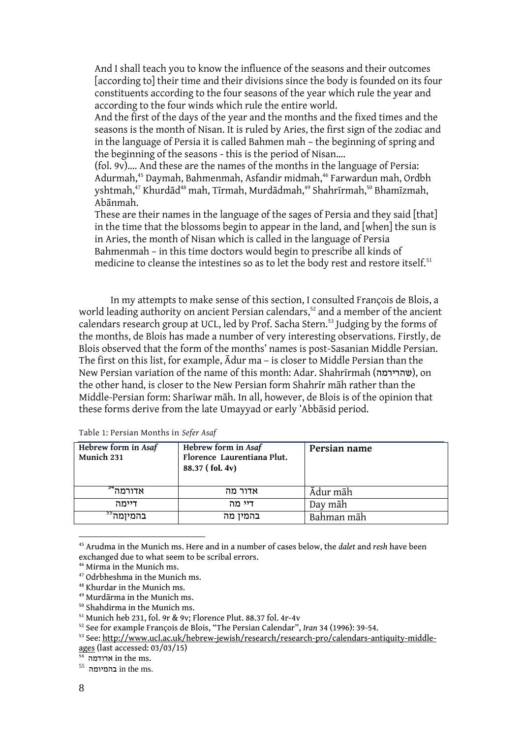And I shall teach you to know the influence of the seasons and their outcomes [according to] their time and their divisions since the body is founded on its four constituents according to the four seasons of the year which rule the year and according to the four winds which rule the entire world.

And the first of the days of the year and the months and the fixed times and the seasons is the month of Nisan. It is ruled by Aries, the first sign of the zodiac and in the language of Persia it is called Bahmen mah – the beginning of spring and the beginning of the seasons - this is the period of Nisan….

(fol. 9v)…. And these are the names of the months in the language of Persia: Adurmah,<sup>45</sup> Daymah, Bahmenmah, Asfandir midmah,<sup>46</sup> Farwardun mah, Ordbh yshtmah,<sup>47</sup> Khurdād<sup>48</sup> mah, Tīrmah, Murdādmah,<sup>49</sup> Shahrīrmah,<sup>50</sup> Bhamīzmah, Abānmah.

These are their names in the language of the sages of Persia and they said [that] in the time that the blossoms begin to appear in the land, and [when] the sun is in Aries, the month of Nisan which is called in the language of Persia Bahmenmah – in this time doctors would begin to prescribe all kinds of medicine to cleanse the intestines so as to let the body rest and restore itself.<sup>51</sup>

In my attempts to make sense of this section, I consulted François de Blois, a world leading authority on ancient Persian calendars,<sup>52</sup> and a member of the ancient calendars research group at UCL, led by Prof. Sacha Stern.<sup>53</sup> Judging by the forms of the months, de Blois has made a number of very interesting observations. Firstly, de Blois observed that the form of the months' names is post-Sasanian Middle Persian. The first on this list, for example, Ādur ma – is closer to Middle Persian than the New Persian variation of the name of this month: Adar. Shahrīrmah (שהרירמה), on the other hand, is closer to the New Persian form Shahrīr māh rather than the Middle-Persian form: Sharīwar māh. In all, however, de Blois is of the opinion that these forms derive from the late Umayyad or early 'Abbāsid period.

| Hebrew form in Asaf<br>Munich 231 | Hebrew form in Asaf<br>Florence Laurentiana Plut.<br>88.37 (fol. 4v) | Persian name |
|-----------------------------------|----------------------------------------------------------------------|--------------|
| אדורמה <sup>54</sup>              | אדור מה                                                              | Ādur māh     |
| דיימה                             | דיי מה                                                               | Day māh      |
| בהמיומה <sup>יי</sup>             | בהמין מה                                                             | Bahman māh   |

Table 1: Persian Months in *Sefer Asaf*

<sup>45</sup> Arudma in the Munich ms. Here and in a number of cases below, the *dalet* and *resh* have been exchanged due to what seem to be scribal errors.

<sup>46</sup> Mirma in the Munich ms.

<sup>47</sup> Odrbheshma in the Munich ms.

<sup>48</sup> Khurdar in the Munich ms.

<sup>49</sup> Murdārma in the Munich ms.

<sup>50</sup> Shahdirma in the Munich ms.

<sup>51</sup> Munich heb 231, fol. 9r & 9v; Florence Plut. 88.37 fol. 4r-4v

<sup>52</sup> See for example François de Blois, "The Persian Calendar", *Iran* 34 (1996): 39-54.

<sup>53</sup> See: [http://www.ucl.ac.uk/hebrew-jewish/research/research-pro/calendars-antiquity-middle](http://www.ucl.ac.uk/hebrew-jewish/research/research-pro/calendars-antiquity-middle-ages)[ages](http://www.ucl.ac.uk/hebrew-jewish/research/research-pro/calendars-antiquity-middle-ages) (last accessed: 03/03/15)

 $\mathbb{\bar{F}}$  ארודמה in the ms.

 $^{55}$ בהמיומה in the ms.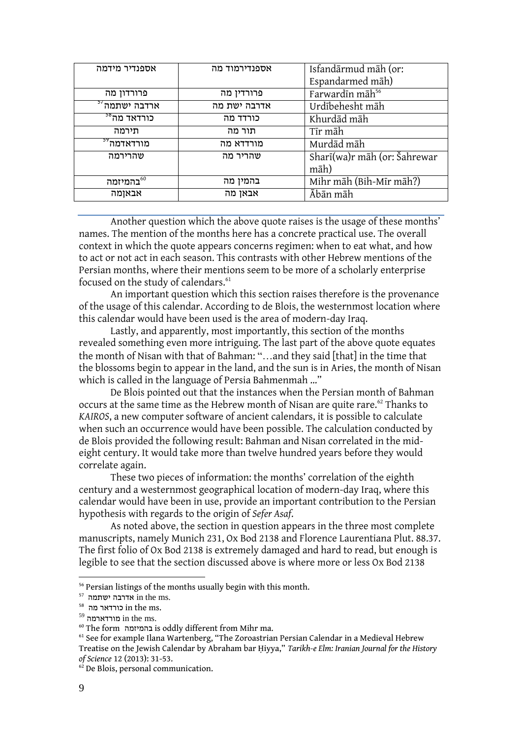| אספנדיר מידמה             | אספנדירמוד מה | Isfandārmud māh (or:         |
|---------------------------|---------------|------------------------------|
|                           |               | Espandarmed māh)             |
| פרורדון מה                | פרורדין מה    | Farwardin māh <sup>56</sup>  |
| ארדבה ישתמה <sup>57</sup> | אדרבה ישת מה  | Urdībehesht māh              |
| כורדאד מה <sup>38</sup>   | כורדד מה      | Khurdād māh                  |
| תירמה                     | תור מה        | Tīr māh                      |
| מורדאדמה <sup>77</sup>    | מורדדא מה     | Murdād māh                   |
| שהרירמה                   | שהריר מה      | Sharī(wa)r māh (or: Šahrewar |
|                           |               | māh)                         |
| בהמיזמה $^{60}$           | בהמין מה      | Mihr māh (Bih-Mīr māh?)      |
| אבאןמה                    | אבאן מה       | Ābān māh                     |

Another question which the above quote raises is the usage of these months' names. The mention of the months here has a concrete practical use. The overall context in which the quote appears concerns regimen: when to eat what, and how to act or not act in each season. This contrasts with other Hebrew mentions of the Persian months, where their mentions seem to be more of a scholarly enterprise focused on the study of calendars.<sup>61</sup>

An important question which this section raises therefore is the provenance of the usage of this calendar. According to de Blois, the westernmost location where this calendar would have been used is the area of modern-day Iraq.

Lastly, and apparently, most importantly, this section of the months revealed something even more intriguing. The last part of the above quote equates the month of Nisan with that of Bahman: "…and they said [that] in the time that the blossoms begin to appear in the land, and the sun is in Aries, the month of Nisan which is called in the language of Persia Bahmenmah …"

De Blois pointed out that the instances when the Persian month of Bahman occurs at the same time as the Hebrew month of Nisan are quite rare.<sup>62</sup> Thanks to *KAIROS*, a new computer software of ancient calendars, it is possible to calculate when such an occurrence would have been possible. The calculation conducted by de Blois provided the following result: Bahman and Nisan correlated in the mideight century. It would take more than twelve hundred years before they would correlate again.

These two pieces of information: the months' correlation of the eighth century and a westernmost geographical location of modern-day Iraq, where this calendar would have been in use, provide an important contribution to the Persian hypothesis with regards to the origin of *Sefer Asaf*.

As noted above, the section in question appears in the three most complete manuscripts, namely Munich 231, Ox Bod 2138 and Florence Laurentiana Plut. 88.37. The first folio of Ox Bod 2138 is extremely damaged and hard to read, but enough is legible to see that the section discussed above is where more or less Ox Bod 2138

<sup>56</sup> Persian listings of the months usually begin with this month.

<sup>57</sup> ישתמה אדרבה in the ms.

 $^{\rm 58}$  <br/> crrrs. כורדאר in the ms.

 $^{\rm 59}$  <br/>in the ms.

<sup>60</sup> The form בהמיזמה is oddly different from Mihr ma.

<sup>&</sup>lt;sup>61</sup> See for example Ilana Wartenberg, "The Zoroastrian Persian Calendar in a Medieval Hebrew Treatise on the Jewish Calendar by Abraham bar Ḥiyya," *Tarikh-e Elm: Iranian Journal for the History of Science* 12 (2013): 31-53.

<sup>&</sup>lt;sup>62</sup> De Blois, personal communication.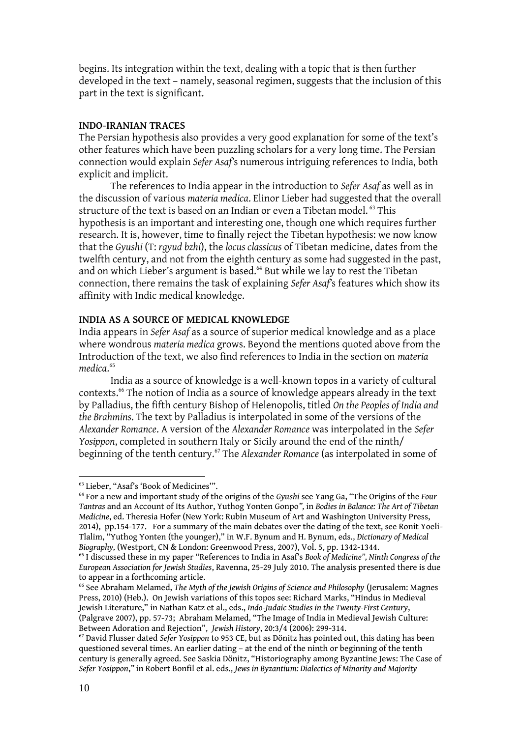begins. Its integration within the text, dealing with a topic that is then further developed in the text – namely, seasonal regimen, suggests that the inclusion of this part in the text is significant.

# **INDO-IRANIAN TRACES**

The Persian hypothesis also provides a very good explanation for some of the text's other features which have been puzzling scholars for a very long time. The Persian connection would explain *Sefer Asaf'*s numerous intriguing references to India, both explicit and implicit.

The references to India appear in the introduction to *Sefer Asaf* as well as in the discussion of various *materia medica*. Elinor Lieber had suggested that the overall structure of the text is based on an Indian or even a Tibetan model.<sup>63</sup> This hypothesis is an important and interesting one, though one which requires further research. It is, however, time to finally reject the Tibetan hypothesis: we now know that the *Gyushi* (T: *rgyud bzhi*), the *locus classicus* of Tibetan medicine, dates from the twelfth century, and not from the eighth century as some had suggested in the past, and on which Lieber's argument is based.<sup>64</sup> But while we lay to rest the Tibetan connection, there remains the task of explaining *Sefer Asaf'*s features which show its affinity with Indic medical knowledge.

### **INDIA AS A SOURCE OF MEDICAL KNOWLEDGE**

India appears in *Sefer Asaf* as a source of superior medical knowledge and as a place where wondrous *materia medica* grows. Beyond the mentions quoted above from the Introduction of the text, we also find references to India in the section on *materia medica*. 65

India as a source of knowledge is a well-known topos in a variety of cultural contexts.<sup>66</sup> The notion of India as a source of knowledge appears already in the text by Palladius, the fifth century Bishop of Helenopolis, titled *On the Peoples of India and the Brahmins*. The text by Palladius is interpolated in some of the versions of the *Alexander Romance*. A version of the *Alexander Romance* was interpolated in the *Sefer Yosippon*, completed in southern Italy or Sicily around the end of the ninth/ beginning of the tenth century.<sup>67</sup> The *Alexander Romance* (as interpolated in some of

<sup>63</sup> Lieber, "Asaf's 'Book of Medicines'".

<sup>64</sup> For a new and important study of the origins of the *Gyushi* see Yang Ga, "The Origins of the *Four Tantras* and an Account of Its Author, Yuthog Yonten Gonpo*",* in *Bodies in Balance: The Art of Tibetan Medicine*, ed. Theresia Hofer (New York: Rubin Museum of Art and Washington University Press, 2014), pp.154-177. For a summary of the main debates over the dating of the text, see Ronit Yoeli-Tlalim, "Yuthog Yonten (the younger)," in W.F. Bynum and H. Bynum, eds., *Dictionary of Medical Biography,* (Westport, CN & London: Greenwood Press, 2007), Vol. 5, pp. 1342-1344.

<sup>65</sup> I discussed these in my paper "References to India in Asaf's *Book of Medicine", Ninth Congress of the European Association for Jewish Studies*, Ravenna, 25-29 July 2010. The analysis presented there is due to appear in a forthcoming article.

<sup>66</sup> See Abraham Melamed, *The Myth of the Jewish Origins of Science and Philosophy* (Jerusalem: Magnes Press, 2010) (Heb.). On Jewish variations of this topos see: Richard Marks, "Hindus in Medieval Jewish Literature," in Nathan Katz et al., eds., *Indo-Judaic Studies in the Twenty-First Century*, (Palgrave 2007), pp. 57-73; Abraham Melamed, "The Image of India in Medieval Jewish Culture: Between Adoration and Rejection", *Jewish History*, 20:3/4 (2006): 299-314.

<sup>67</sup> David Flusser dated *Sefer Yosippon* to 953 CE, but as Dönitz has pointed out, this dating has been questioned several times. An earlier dating – at the end of the ninth or beginning of the tenth century is generally agreed. See Saskia Dönitz, "Historiography among Byzantine Jews: The Case of *Sefer Yosippon*,*"* in Robert Bonfil et al. eds., *Jews in Byzantium: Dialectics of Minority and Majority*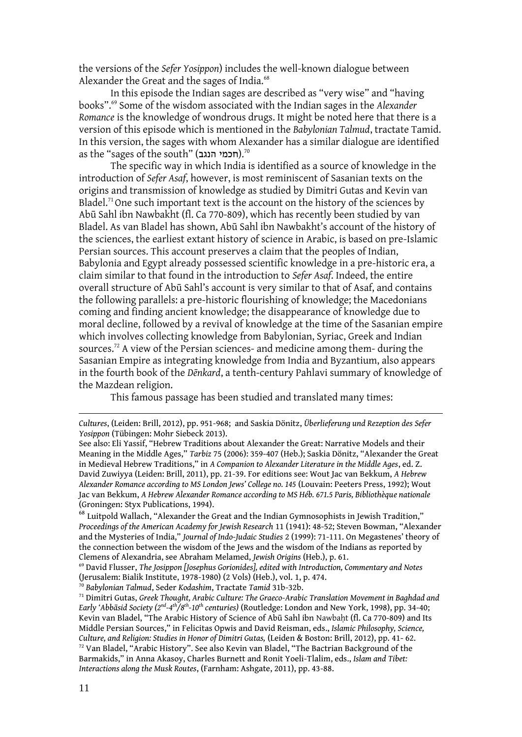the versions of the *Sefer Yosippon*) includes the well-known dialogue between Alexander the Great and the sages of India.<sup>68</sup>

In this episode the Indian sages are described as "very wise" and "having books".<sup>69</sup> Some of the wisdom associated with the Indian sages in the *Alexander Romance* is the knowledge of wondrous drugs. It might be noted here that there is a version of this episode which is mentioned in the *Babylonian Talmud*, tractate Tamid. In this version, the sages with whom Alexander has a similar dialogue are identified as the "sages of the south" (חכמי הנגב).<sup>70</sup>

The specific way in which India is identified as a source of knowledge in the introduction of *Sefer Asaf*, however, is most reminiscent of Sasanian texts on the origins and transmission of knowledge as studied by Dimitri Gutas and Kevin van Bladel.<sup>71</sup> One such important text is the account on the history of the sciences by Abū Sahl ibn Nawbakht (fl. Ca 770-809), which has recently been studied by van Bladel. As van Bladel has shown, Abū Sahl ibn Nawbakht's account of the history of the sciences, the earliest extant history of science in Arabic, is based on pre-Islamic Persian sources. This account preserves a claim that the peoples of Indian, Babylonia and Egypt already possessed scientific knowledge in a pre-historic era, a claim similar to that found in the introduction to *Sefer Asaf*. Indeed, the entire overall structure of Abū Sahl's account is very similar to that of Asaf, and contains the following parallels: a pre-historic flourishing of knowledge; the Macedonians coming and finding ancient knowledge; the disappearance of knowledge due to moral decline, followed by a revival of knowledge at the time of the Sasanian empire which involves collecting knowledge from Babylonian, Syriac, Greek and Indian sources.<sup>72</sup> A view of the Persian sciences- and medicine among them- during the Sasanian Empire as integrating knowledge from India and Byzantium, also appears in the fourth book of the *Dēnkard*, a tenth-century Pahlavi summary of knowledge of the Mazdean religion.

This famous passage has been studied and translated many times:

 $^{68}$  Luitpold Wallach, "Alexander the Great and the Indian Gymnosophists in Jewish Tradition," *Proceedings of the American Academy for Jewish Research* 11 (1941): 48-52; Steven Bowman, "Alexander and the Mysteries of India," *Journal of Indo-Judaic Studies* 2 (1999): 71-111. On Megastenes' theory of the connection between the wisdom of the Jews and the wisdom of the Indians as reported by Clemens of Alexandria, see Abraham Melamed, *Jewish Origins* (Heb.), p. 61.

<sup>69</sup> David Flusser, *The Josippon [Josephus Gorionides], edited with Introduction, Commentary and Notes*  (Jerusalem: Bialik Institute, 1978-1980) (2 Vols) (Heb.), vol. 1, p. 474.

<sup>70</sup> *Babylonian Talmud*, Seder *Kodashim*, Tractate *Tamid* 31b-32b.

*Cultures*, (Leiden: Brill, 2012), pp. 951-968; and Saskia Dönitz, *Überlieferung und Rezeption des Sefer Yosippon* (Tübingen: Mohr Siebeck 2013).

See also: Eli Yassif, "Hebrew Traditions about Alexander the Great: Narrative Models and their Meaning in the Middle Ages," *Tarbiz* 75 (2006): 359-407 (Heb.); Saskia Dönitz, "Alexander the Great in Medieval Hebrew Traditions," in *A Companion to Alexander Literature in the Middle Ages*, ed. Z. David Zuwiyya (Leiden: Brill, 2011), pp. 21-39. For editions see: Wout Jac van Bekkum, *A Hebrew Alexander Romance according to MS London Jews' College no. 145* (Louvain: Peeters Press, 1992); Wout Jac van Bekkum, *A Hebrew Alexander Romance according to MS Héb. 671.5 Paris, Bibliothèque nationale*  (Groningen: Styx Publications, 1994).

<sup>71</sup> Dimitri Gutas, *Greek Thought, Arabic Culture: The Graeco-Arabic Translation Movement in Baghdad and Early 'Abbāsid Society (2nd -4 th/8th -10th centuries)* (Routledge: London and New York, 1998), pp. 34-40; Kevin van Bladel, "The Arabic History of Science of Abū Sahl ibn Nawbaht (fl. Ca 770-809) and Its Middle Persian Sources," in Felicitas Opwis and David Reisman, eds., *Islamic Philosophy, Science, Culture, and Religion: Studies in Honor of Dimitri Gutas,* (Leiden & Boston: Brill, 2012), pp. 41- 62. <sup>72</sup> Van Bladel, "Arabic History". See also Kevin van Bladel, "The Bactrian Background of the Barmakids," in Anna Akasoy, Charles Burnett and Ronit Yoeli-Tlalim, eds., *Islam and Tibet: Interactions along the Musk Routes*, (Farnham: Ashgate, 2011), pp. 43-88.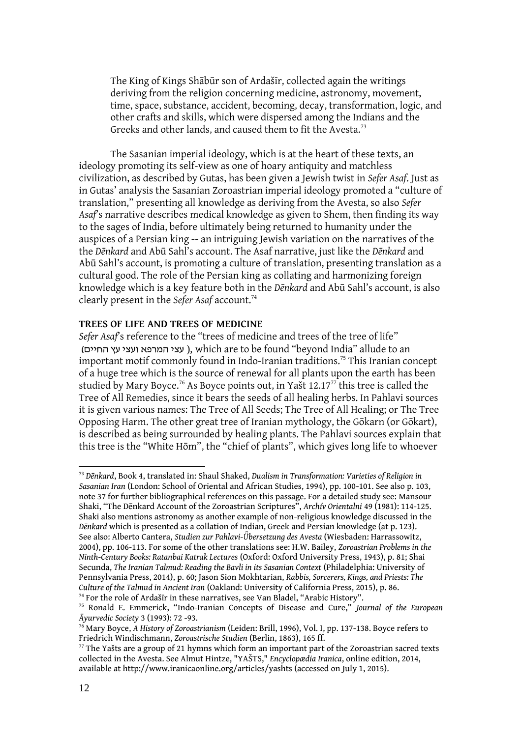The King of Kings Shābūr son of Ardašīr, collected again the writings deriving from the religion concerning medicine, astronomy, movement, time, space, substance, accident, becoming, decay, transformation, logic, and other crafts and skills, which were dispersed among the Indians and the Greeks and other lands, and caused them to fit the Avesta.<sup>73</sup>

The Sasanian imperial ideology, which is at the heart of these texts, an ideology promoting its self-view as one of hoary antiquity and matchless civilization, as described by Gutas, has been given a Jewish twist in *Sefer Asaf*. Just as in Gutas' analysis the Sasanian Zoroastrian imperial ideology promoted a "culture of translation," presenting all knowledge as deriving from the Avesta, so also *Sefer Asaf*'s narrative describes medical knowledge as given to Shem, then finding its way to the sages of India, before ultimately being returned to humanity under the auspices of a Persian king -- an intriguing Jewish variation on the narratives of the the *Dēnkard* and Abū Sahl's account. The Asaf narrative, just like the *Dēnkard* and Abū Sahl's account, is promoting a culture of translation, presenting translation as a cultural good. The role of the Persian king as collating and harmonizing foreign knowledge which is a key feature both in the *Dēnkard* and Abū Sahl's account, is also clearly present in the *Sefer Asaf* account.<sup>74</sup>

### **TREES OF LIFE AND TREES OF MEDICINE**

*Sefer Asaf's reference to the "trees of medicine and trees of the tree of life"* (עצי המרפא ועצי עץ החיים ), which are to be found "beyond India" allude to an important motif commonly found in Indo-Iranian traditions.<sup>75</sup> This Iranian concept of a huge tree which is the source of renewal for all plants upon the earth has been studied by Mary Boyce.<sup>76</sup> As Boyce points out, in Yašt 12.17<sup>77</sup> this tree is called the Tree of All Remedies, since it bears the seeds of all healing herbs. In Pahlavi sources it is given various names: The Tree of All Seeds; The Tree of All Healing; or The Tree Opposing Harm. The other great tree of Iranian mythology, the Gōkarn (or Gōkart), is described as being surrounded by healing plants. The Pahlavi sources explain that this tree is the "White Hōm", the "chief of plants", which gives long life to whoever

<sup>73</sup> *Dēnkard*, Book 4, translated in: Shaul Shaked, *Dualism in Transformation: Varieties of Religion in Sasanian Iran* (London: School of Oriental and African Studies, 1994), pp. 100-101. See also p. 103, note 37 for further bibliographical references on this passage. For a detailed study see: Mansour Shaki, "The Dēnkard Account of the Zoroastrian Scriptures", *Archív Orientalni* 49 (1981): 114-125. Shaki also mentions astronomy as another example of non-religious knowledge discussed in the *Dēnkard* which is presented as a collation of Indian, Greek and Persian knowledge (at p. 123). See also: Alberto Cantera, *Studien zur Pahlavi-Ǖbersetzung des Avesta* (Wiesbaden: Harrassowitz, 2004), pp. 106-113. For some of the other translations see: H.W. Bailey, *Zoroastrian Problems in the Ninth-Century Books: Ratanbai Katrak Lectures* (Oxford: Oxford University Press, 1943), p. 81; Shai Secunda, *The Iranian Talmud: Reading the Bavli in its Sasanian Context* (Philadelphia: University of Pennsylvania Press, 2014), p. 60; Jason Sion Mokhtarian, *Rabbis, Sorcerers, Kings, and Priests: The Culture of the Talmud in Ancient Iran* (Oakland: University of California Press, 2015), p. 86. <sup>74</sup> For the role of Ardašīr in these narratives, see Van Bladel, "Arabic History".

<sup>75</sup> Ronald E. Emmerick, "Indo-Iranian Concepts of Disease and Cure," *Journal of the European Āyurvedic Society* 3 (1993): 72 -93.

<sup>76</sup> Mary Boyce, *A History of Zoroastrianism* (Leiden: Brill, 1996), Vol. I, pp. 137-138. Boyce refers to Friedrich Windischmann, *Zoroastrische Studien* (Berlin, 1863), 165 ff.

 $77$  The Yašts are a group of 21 hymns which form an important part of the Zoroastrian sacred texts collected in the Avesta. See Almut Hintze, "YAŠTS," *Encyclopædia Iranica*, online edition, 2014, available at http://www.iranicaonline.org/articles/yashts (accessed on July 1, 2015).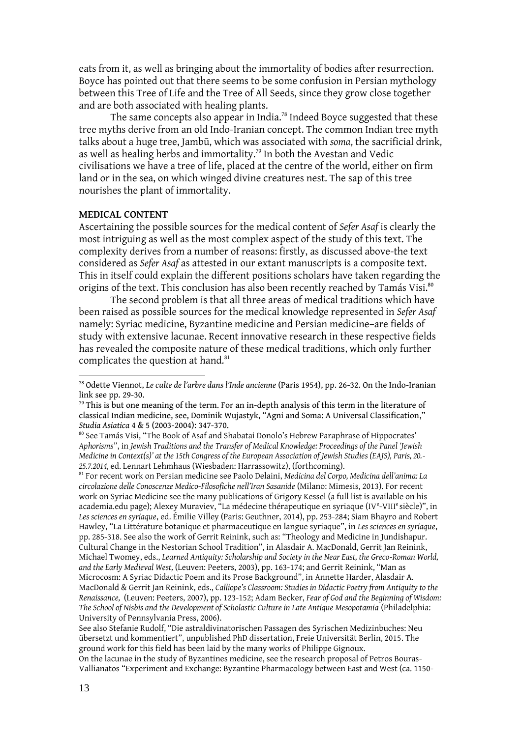eats from it, as well as bringing about the immortality of bodies after resurrection. Boyce has pointed out that there seems to be some confusion in Persian mythology between this Tree of Life and the Tree of All Seeds, since they grow close together and are both associated with healing plants.

The same concepts also appear in India.<sup>78</sup> Indeed Boyce suggested that these tree myths derive from an old Indo-Iranian concept. The common Indian tree myth talks about a huge tree, Jambū, which was associated with *soma*, the sacrificial drink, as well as healing herbs and immortality.<sup>79</sup> In both the Avestan and Vedic civilisations we have a tree of life, placed at the centre of the world, either on firm land or in the sea, on which winged divine creatures nest. The sap of this tree nourishes the plant of immortality.

#### **MEDICAL CONTENT**

Ascertaining the possible sources for the medical content of *Sefer Asaf* is clearly the most intriguing as well as the most complex aspect of the study of this text. The complexity derives from a number of reasons: firstly, as discussed above-the text considered as *Sefer Asaf* as attested in our extant manuscripts is a composite text. This in itself could explain the different positions scholars have taken regarding the origins of the text. This conclusion has also been recently reached by Tamás Visi.<sup>80</sup>

The second problem is that all three areas of medical traditions which have been raised as possible sources for the medical knowledge represented in *Sefer Asaf* namely: Syriac medicine, Byzantine medicine and Persian medicine–are fields of study with extensive lacunae. Recent innovative research in these respective fields has revealed the composite nature of these medical traditions, which only further complicates the question at hand.<sup>81</sup>

<sup>81</sup> For recent work on Persian medicine see Paolo Delaini, *Medicina del Corpo, Medicina dell'anima: La circolazione delle Conoscenze Medico-Filosofiche nell'Iran Sasanide* (Milano: Mimesis, 2013). For recent work on Syriac Medicine see the many publications of Grigory Kessel (a full list is available on his academia.edu page); Alexey Muraviev, "La médecine thérapeutique en syriaque (IV<sup>e</sup>-VIII<sup>e</sup> siècle)", in *Les sciences en syriaque*, ed. Émilie Villey (Paris: Geuthner, 2014), pp. 253-284; Siam Bhayro and Robert Hawley, "La Littérature botanique et pharmaceutique en langue syriaque", in *Les sciences en syriaque*, pp. 285-318. See also the work of Gerrit Reinink, such as: "Theology and Medicine in Jundishapur. Cultural Change in the Nestorian School Tradition", in Alasdair A. MacDonald, Gerrit Jan Reinink, Michael Twomey, eds., *Learned Antiquity: Scholarship and Society in the Near East, the Greco-Roman World, and the Early Medieval West,* (Leuven: Peeters, 2003), pp. 163-174; and Gerrit Reinink, "Man as Microcosm: A Syriac Didactic Poem and its Prose Background", in Annette Harder, Alasdair A. MacDonald & Gerrit Jan Reinink, eds., *Calliope's Classroom: Studies in Didactic Poetry from Antiquity to the Renaissance,* (Leuven: Peeters, 2007), pp. 123-152; Adam Becker, *Fear of God and the Beginning of Wisdom: The School of Nisbis and the Development of Scholastic Culture in Late Antique Mesopotamia* (Philadelphia: University of Pennsylvania Press, 2006).

<sup>78</sup> Odette Viennot, *Le culte de l'arbre dans l'Inde ancienne* (Paris 1954), pp. 26-32. On the Indo-Iranian link see pp. 29-30.

 $79$  This is but one meaning of the term. For an in-depth analysis of this term in the literature of classical Indian medicine, see, Dominik Wujastyk, "Agni and Soma: A Universal Classification," *Studia Asiatica* 4 & 5 (2003-2004): 347-370.

<sup>80</sup> See Tamás Visi, "The Book of Asaf and Shabatai Donolo's Hebrew Paraphrase of Hippocrates' *Aphorisms*", in *Jewish Traditions and the Transfer of Medical Knowledge: Proceedings of the Panel 'Jewish Medicine in Context(s)' at the 15th Congress of the European Association of Jewish Studies (EAJS), Paris, 20.- 25.7.2014,* ed. Lennart Lehmhaus (Wiesbaden: Harrassowitz), (forthcoming).

See also Stefanie Rudolf, "Die astraldivinatorischen Passagen des Syrischen Medizinbuches: Neu übersetzt und kommentiert", unpublished PhD dissertation, Freie Universität Berlin, 2015. The ground work for this field has been laid by the many works of Philippe Gignoux.

On the lacunae in the study of Byzantines medicine, see the research proposal of Petros Bouras-Vallianatos "Experiment and Exchange: Byzantine Pharmacology between East and West (ca. 1150-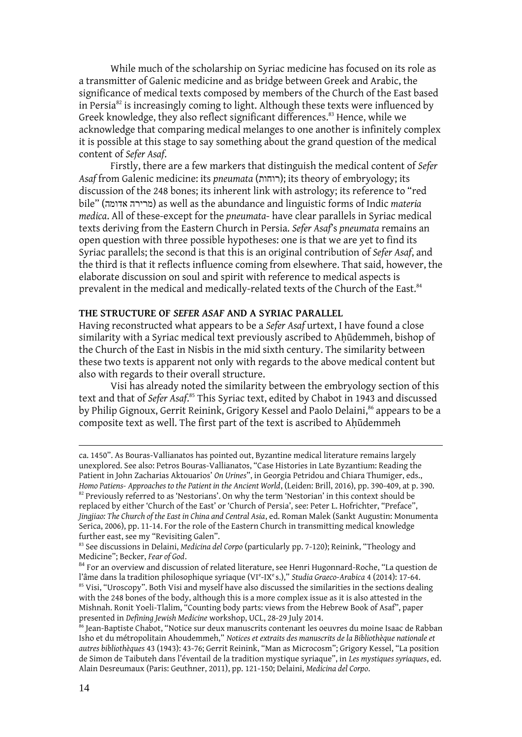While much of the scholarship on Syriac medicine has focused on its role as a transmitter of Galenic medicine and as bridge between Greek and Arabic, the significance of medical texts composed by members of the Church of the East based in Persia $82$  is increasingly coming to light. Although these texts were influenced by Greek knowledge, they also reflect significant differences.<sup>83</sup> Hence, while we acknowledge that comparing medical melanges to one another is infinitely complex it is possible at this stage to say something about the grand question of the medical content of *Sefer Asaf*.

Firstly, there are a few markers that distinguish the medical content of *Sefer Asaf* from Galenic medicine: its *pneumata* (רוחות ;(its theory of embryology; its discussion of the 248 bones; its inherent link with astrology; its reference to "red bile" (אדומה מרירה (as well as the abundance and linguistic forms of Indic *materia medica*. All of these-except for the *pneumata*- have clear parallels in Syriac medical texts deriving from the Eastern Church in Persia. *Sefer Asaf*'s *pneumata* remains an open question with three possible hypotheses: one is that we are yet to find its Syriac parallels; the second is that this is an original contribution of *Sefer Asaf*, and the third is that it reflects influence coming from elsewhere. That said, however, the elaborate discussion on soul and spirit with reference to medical aspects is prevalent in the medical and medically-related texts of the Church of the East.<sup>84</sup>

# **THE STRUCTURE OF** *SEFER ASAF* **AND A SYRIAC PARALLEL**

Having reconstructed what appears to be a *Sefer Asaf* urtext, I have found a close similarity with a Syriac medical text previously ascribed to Ahūdemmeh, bishop of the Church of the East in Nisbis in the mid sixth century. The similarity between these two texts is apparent not only with regards to the above medical content but also with regards to their overall structure.

Visi has already noted the similarity between the embryology section of this text and that of *Sefer Asaf*. <sup>85</sup> This Syriac text, edited by Chabot in 1943 and discussed by Philip Gignoux, Gerrit Reinink, Grigory Kessel and Paolo Delaini, <sup>86</sup> appears to be a composite text as well. The first part of the text is ascribed to Aḥūdemmeh

ca. 1450". As Bouras-Vallianatos has pointed out, Byzantine medical literature remains largely unexplored. See also: Petros Bouras-Vallianatos, "Case Histories in Late Byzantium: Reading the Patient in John Zacharias Aktouarios' *On Urines*", in Georgia Petridou and Chiara Thumiger, eds., *Homo Patiens- Approaches to the Patient in the Ancient World*, (Leiden: Brill, 2016), pp. 390-409, at p. 390.

 $82$  Previously referred to as 'Nestorians'. On why the term 'Nestorian' in this context should be replaced by either 'Church of the East' or 'Church of Persia', see: Peter L. Hofrichter, "Preface", *Jingjiao: The Church of the East in China and Central Asia*, ed. Roman Malek (Sankt Augustin: Monumenta Serica, 2006), pp. 11-14. For the role of the Eastern Church in transmitting medical knowledge further east, see my "Revisiting Galen".

<sup>83</sup> See discussions in Delaini, *Medicina del Corpo* (particularly pp. 7-120); Reinink, "Theology and Medicine"; Becker, *Fear of God*.

<sup>&</sup>lt;sup>84</sup> For an overview and discussion of related literature, see Henri Hugonnard-Roche, "La question de l'âme dans la tradition philosophique syriaque (VIe-IXes.)," *Studia Graeco-Arabica* 4 (2014): 17-64.  $85$  Visi, "Uroscopy". Both Visi and myself have also discussed the similarities in the sections dealing with the 248 bones of the body, although this is a more complex issue as it is also attested in the Mishnah. Ronit Yoeli-Tlalim, "Counting body parts: views from the Hebrew Book of Asaf", paper presented in *Defining Jewish Medicine* workshop, UCL, 28-29 July 2014.

<sup>&</sup>lt;sup>86</sup> Jean-Baptiste Chabot, "Notice sur deux manuscrits contenant les oeuvres du moine Isaac de Rabban Isho et du métropolitain Ahoudemmeh," *Notices et extraits des manuscrits de la Bibliothèque nationale et autres bibliothèques* 43 (1943): 43-76; Gerrit Reinink, "Man as Microcosm"; Grigory Kessel, "La position de Simon de Taibuteh dans l'éventail de la tradition mystique syriaque", in *Les mystiques syriaques*, ed. Alain Desreumaux (Paris: Geuthner, 2011), pp. 121-150; Delaini, *Medicina del Corpo*.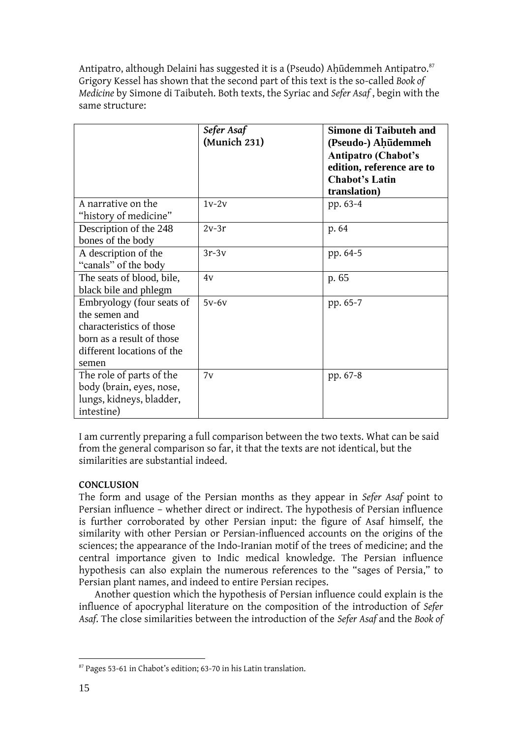Antipatro, although Delaini has suggested it is a (Pseudo) Aḥūdemmeh Antipatro.<sup>87</sup> Grigory Kessel has shown that the second part of this text is the so-called *Book of Medicine* by Simone di Taibuteh. Both texts, the Syriac and *Sefer Asaf* , begin with the same structure:

|                            | Sefer Asaf   | <b>Simone di Taibuteh and</b> |
|----------------------------|--------------|-------------------------------|
|                            | (Munich 231) | (Pseudo-) Ahūdemmeh           |
|                            |              | <b>Antipatro (Chabot's</b>    |
|                            |              | edition, reference are to     |
|                            |              | <b>Chabot's Latin</b>         |
|                            |              | translation)                  |
| A narrative on the         | $1v-2v$      | pp. 63-4                      |
| "history of medicine"      |              |                               |
| Description of the 248     | $2v-3r$      | p. 64                         |
| bones of the body          |              |                               |
| A description of the       | $3r-3v$      | pp. 64-5                      |
| "canals" of the body       |              |                               |
| The seats of blood, bile,  | 4v           | p. 65                         |
| black bile and phlegm      |              |                               |
| Embryology (four seats of  | $5v-6v$      | pp. 65-7                      |
| the semen and              |              |                               |
| characteristics of those   |              |                               |
| born as a result of those  |              |                               |
| different locations of the |              |                               |
| semen                      |              |                               |
| The role of parts of the   | 7v           | pp. 67-8                      |
| body (brain, eyes, nose,   |              |                               |
| lungs, kidneys, bladder,   |              |                               |
| intestine)                 |              |                               |

I am currently preparing a full comparison between the two texts. What can be said from the general comparison so far, it that the texts are not identical, but the similarities are substantial indeed.

# **CONCLUSION**

The form and usage of the Persian months as they appear in *Sefer Asaf* point to Persian influence – whether direct or indirect. The hypothesis of Persian influence is further corroborated by other Persian input: the figure of Asaf himself, the similarity with other Persian or Persian-influenced accounts on the origins of the sciences; the appearance of the Indo-Iranian motif of the trees of medicine; and the central importance given to Indic medical knowledge. The Persian influence hypothesis can also explain the numerous references to the "sages of Persia," to Persian plant names, and indeed to entire Persian recipes.

Another question which the hypothesis of Persian influence could explain is the influence of apocryphal literature on the composition of the introduction of *Sefer Asaf*. The close similarities between the introduction of the *Sefer Asaf* and the *Book of* 

<sup>1</sup> <sup>87</sup> Pages 53-61 in Chabot's edition; 63-70 in his Latin translation.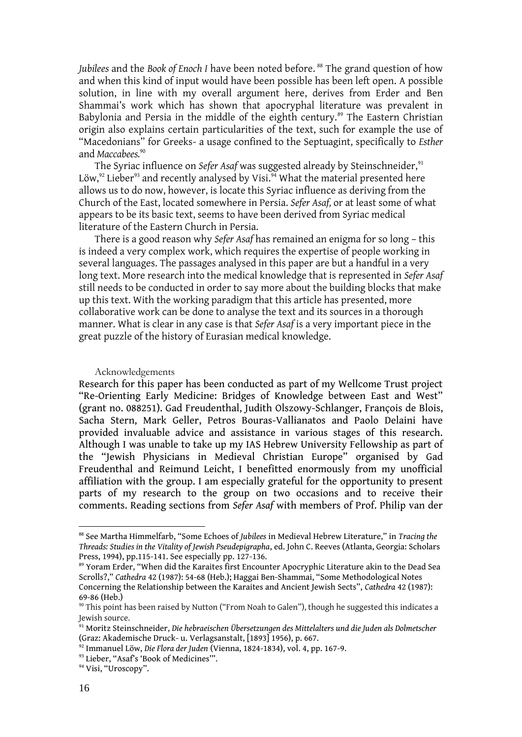*Jubilees* and the *Book of Enoch I* have been noted before. <sup>88</sup> The grand question of how and when this kind of input would have been possible has been left open. A possible solution, in line with my overall argument here, derives from Erder and Ben Shammai's work which has shown that apocryphal literature was prevalent in Babylonia and Persia in the middle of the eighth century.<sup>89</sup> The Eastern Christian origin also explains certain particularities of the text, such for example the use of "Macedonians" for Greeks- a usage confined to the Septuagint, specifically to *Esther* and *Maccabees.*<sup>90</sup>

The Syriac influence on *Sefer Asaf* was suggested already by Steinschneider,<sup>91</sup> Löw,<sup>92</sup> Lieber<sup>93</sup> and recently analysed by Visi.<sup>94</sup> What the material presented here allows us to do now, however, is locate this Syriac influence as deriving from the Church of the East, located somewhere in Persia. *Sefer Asaf,* or at least some of what appears to be its basic text, seems to have been derived from Syriac medical literature of the Eastern Church in Persia.

There is a good reason why *Sefer Asaf* has remained an enigma for so long – this is indeed a very complex work, which requires the expertise of people working in several languages. The passages analysed in this paper are but a handful in a very long text. More research into the medical knowledge that is represented in *Sefer Asaf* still needs to be conducted in order to say more about the building blocks that make up this text. With the working paradigm that this article has presented, more collaborative work can be done to analyse the text and its sources in a thorough manner. What is clear in any case is that *Sefer Asaf* is a very important piece in the great puzzle of the history of Eurasian medical knowledge.

#### Acknowledgements

Research for this paper has been conducted as part of my Wellcome Trust project "Re-Orienting Early Medicine: Bridges of Knowledge between East and West" (grant no. 088251). Gad Freudenthal, Judith Olszowy-Schlanger, François de Blois, Sacha Stern, Mark Geller, Petros Bouras-Vallianatos and Paolo Delaini have provided invaluable advice and assistance in various stages of this research. Although I was unable to take up my IAS Hebrew University Fellowship as part of the "Jewish Physicians in Medieval Christian Europe" organised by Gad Freudenthal and Reimund Leicht, I benefitted enormously from my unofficial affiliation with the group. I am especially grateful for the opportunity to present parts of my research to the group on two occasions and to receive their comments. Reading sections from *Sefer Asaf* with members of Prof. Philip van der

<sup>88</sup> See Martha Himmelfarb, "Some Echoes of *Jubilees* in Medieval Hebrew Literature," in *Tracing the Threads: Studies in the Vitality of Jewish Pseudepigrapha*, ed. John C. Reeves (Atlanta, Georgia: Scholars Press, 1994), pp.115-141. See especially pp. 127-136.

<sup>89</sup> Yoram Erder, "When did the Karaites first Encounter Apocryphic Literature akin to the Dead Sea Scrolls?," *Cathedra* 42 (1987): 54-68 (Heb.); Haggai Ben-Shammai, "Some Methodological Notes Concerning the Relationship between the Karaites and Ancient Jewish Sects", *Cathedra* 42 (1987): 69-86 (Heb.)

<sup>&</sup>lt;sup>90</sup> This point has been raised by Nutton ("From Noah to Galen"), though he suggested this indicates a Jewish source.

<sup>91</sup> Moritz Steinschneider, *Die hebraeischen Übersetzungen des Mittelalters und die Juden als Dolmetscher*  (Graz: Akademische Druck- u. Verlagsanstalt, [1893] 1956), p. 667.

<sup>92</sup> Immanuel Löw, *Die Flora der Juden* (Vienna, 1824-1834), vol. 4, pp. 167-9.

<sup>93</sup> Lieber, "Asaf's 'Book of Medicines".

<sup>&</sup>lt;sup>94</sup> Visi, "Uroscopy".